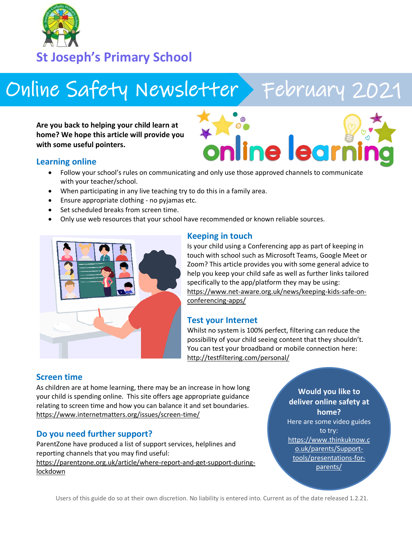

**St Joseph's Primary School**

# Online Safety Newsletter > February 2021

**Are you back to helping your child learn at home? We hope this article will provide you with some useful pointers.**



#### **Learning online**

- Follow your school's rules on communicating and only use those approved channels to communicate with your teacher/school.
- When participating in any live teaching try to do this in a family area.
- Ensure appropriate clothing no pyjamas etc.
- Set scheduled breaks from screen time.
- Only use web resources that your school have recommended or known reliable sources.



## **Keeping in touch**

Is your child using a Conferencing app as part of keeping in touch with school such as Microsoft Teams, Google Meet or Zoom? This article provides you with some general advice to help you keep your child safe as well as further links tailored specifically to the app/platform they may be using: [https://www.net-aware.org.uk/news/keeping-kids-safe-on](https://www.net-aware.org.uk/news/keeping-kids-safe-on-conferencing-apps/)[conferencing-apps/](https://www.net-aware.org.uk/news/keeping-kids-safe-on-conferencing-apps/)

#### **Test your Internet**

Whilst no system is 100% perfect, filtering can reduce the possibility of your child seeing content that they shouldn't. You can test your broadband or mobile connection here: <http://testfiltering.com/personal/>

## **Screen time**

As children are at home learning, there may be an increase in how long your child is spending online. This site offers age appropriate guidance relating to screen time and how you can balance it and set boundaries. <https://www.internetmatters.org/issues/screen-time/>

## **Do you need further support?**

ParentZone have produced a list of support services, helplines and reporting channels that you may find useful: [https://parentzone.org.uk/article/where-report-and-get-support-during](https://parentzone.org.uk/article/where-report-and-get-support-during-lockdown)[lockdown](https://parentzone.org.uk/article/where-report-and-get-support-during-lockdown)

**Would you like to deliver online safety at home?** Here are some video guides to try: [https://www.thinkuknow.c](https://www.thinkuknow.co.uk/parents/Support-tools/presentations-for-parents/) [o.uk/parents/Support](https://www.thinkuknow.co.uk/parents/Support-tools/presentations-for-parents/)[tools/presentations-for](https://www.thinkuknow.co.uk/parents/Support-tools/presentations-for-parents/)[parents/](https://www.thinkuknow.co.uk/parents/Support-tools/presentations-for-parents/)

Users of this guide do so at their own discretion. No liability is entered into. Current as of the date released 1.2.21.